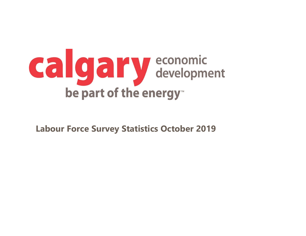

**Labour Force Survey Statistics October 2019**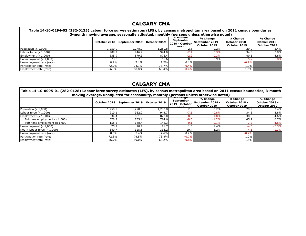#### **CALGARY CMA**

 $\overline{a}$ 

| Table 14-10-0294-02 (282-0135) Labour force survey estimates (LFS), by census metropolitan area based on 2011 census boundaries,<br>3-month moving average, seasonally adjusted, monthly (persons unless otherwise noted) |         |                               |              |                                                            |                                              |                                                   |                                                   |  |  |
|---------------------------------------------------------------------------------------------------------------------------------------------------------------------------------------------------------------------------|---------|-------------------------------|--------------|------------------------------------------------------------|----------------------------------------------|---------------------------------------------------|---------------------------------------------------|--|--|
|                                                                                                                                                                                                                           |         | October 2018   September 2019 | October 2019 | <del># change</del><br>September<br>2019 - October<br>معمم | % Change<br>September 2019 -<br>October 2019 | # Change<br><b>October 2018 -</b><br>October 2019 | % Change<br><b>October 2018 -</b><br>October 2019 |  |  |
| Population (x 1,000)                                                                                                                                                                                                      | L,250.9 | 1,278.0                       | 1,280.8      | 2.8                                                        | 0.2%                                         | 29.9                                              | 2.4%                                              |  |  |
| Labour force $(x 1,000)$                                                                                                                                                                                                  | 909.2   | 946.4                         | 944.0        | $-2.4$                                                     | $-0.3%$                                      | 34.8                                              | 3.8%                                              |  |  |
| Employment $(x 1,000)$                                                                                                                                                                                                    | 835.9   | 879.3                         | 876.4        | $-2.9$                                                     | $-0.3%$                                      | 40.5                                              | 4.8%                                              |  |  |
| Unemployment (x 1,000)                                                                                                                                                                                                    | 73.3    | 67.0                          | 67.6         | 0.6                                                        | 0.9%                                         | $-5.7$                                            | $-7.8%$                                           |  |  |
| Unemployment rate (rate)                                                                                                                                                                                                  | 8.1%    | 7.1%                          | 7.2%         | 0.1%                                                       |                                              | $-0.9%$                                           |                                                   |  |  |
| Participation rate (rate)                                                                                                                                                                                                 | 72.7%   | 74.1%                         | 73.7%        | $-0.4%$                                                    |                                              | 1.0%                                              |                                                   |  |  |
| Employment rate (rate)                                                                                                                                                                                                    | 66.8%   | 68.8%                         | 68.4%        | $-0.4%$                                                    |                                              | $1.6\%$                                           |                                                   |  |  |

### **CALGARY CMA**

| Table 14-10-0095-01 (282-0128) Labour force survey estimates (LFS), by census metropolitan area based on 2011 census boundaries, 3-month |         |                               |              |                                                                   |                                              |                                                   |                                                   |  |  |
|------------------------------------------------------------------------------------------------------------------------------------------|---------|-------------------------------|--------------|-------------------------------------------------------------------|----------------------------------------------|---------------------------------------------------|---------------------------------------------------|--|--|
| moving average, unadjusted for seasonality, monthly (persons unless otherwise noted)                                                     |         |                               |              |                                                                   |                                              |                                                   |                                                   |  |  |
|                                                                                                                                          |         | October 2018   September 2019 | October 2019 | <del># change</del><br><b>September</b><br>2019 - October<br>معمد | % Change<br>September 2019 -<br>October 2019 | # Change<br><b>October 2018 -</b><br>October 2019 | % Change<br><b>October 2018 -</b><br>October 2019 |  |  |
| Population (x 1,000)                                                                                                                     | 1,250.9 | 1,278.0                       | 1,280.8      | 2.8                                                               | 0.2%                                         | 29.9                                              | 2.4%                                              |  |  |
| Labour force $(x 1,000)$                                                                                                                 | 910.1   | 952.2                         | 944.7        | $-7.5$                                                            | $-0.8%$                                      | 34.6                                              | 3.8%                                              |  |  |
| Employment $(x 1,000)$                                                                                                                   | 834.4   | 881.5                         | 873.0        | $-8.5$                                                            | $-1.0%$                                      | 38.6                                              | 4.6%                                              |  |  |
| Full-time employment (x 1,000)                                                                                                           | 678.9   | 733.1                         | 724.6        | $-8.5$                                                            | $-1.2%$                                      | 45.7                                              | 6.7%                                              |  |  |
| Part-time employment (x 1,000)                                                                                                           | 155.5   | 148.4                         | 148.3        | $-0.1$                                                            | $-0.1%$                                      | $-7.2$                                            | $-4.6%$                                           |  |  |
| Unemployment $(x 1,000)$                                                                                                                 | 75.7    | 70.7                          | 71.7         |                                                                   | 1.4%                                         | $-4.0$                                            | $-5.3%$                                           |  |  |
| Not in labour force $(x 1,000)$                                                                                                          | 340.7   | 325.8                         | 336.2        | 10.4                                                              | 3.2%                                         | $-4.5$                                            | $-1.3%$                                           |  |  |
| Unemployment rate (rate)                                                                                                                 | 8.3%    | 7.4%                          | 7.6%         | 0.2%                                                              |                                              | $-0.7%$                                           |                                                   |  |  |
| Participation rate (rate)                                                                                                                | 72.8%   | 74.5%                         | 73.8%        | $-0.7%$                                                           |                                              | 1.0%                                              |                                                   |  |  |
| Employment rate (rate)                                                                                                                   | 66.7%   | 69.0%                         | 68.2%        | $-0.8%$                                                           |                                              | 1.5%                                              |                                                   |  |  |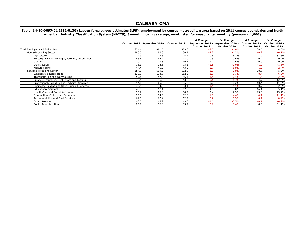#### **CALGARY CMA**

**October 2018 September 2019 October 2019 # Change** September 2019 **October 2019 % Change September 2019 - October 2019 # Change October 2018 - October 2019 % Change October 2018 - October 2019** Total Employed - All Industries 834.4 881.5 873.0 4.6% Goods-Producing Sector **180.3** 180.3 182.3 180.1 180.1 -2.2 -1.2% -0.1% -0.2 -0.1% -0.1% -0.1% -0.1% -0.1% -0.1%<br>Agriculture 1.9 82.6% -0.2 1.9 82.6% Agriculture 3.6| 4.2| 0.6| 16.7%| 1.9| 82.6% Forestry, Fishing, Mining, Quarrying, Oil and Gas 46.6 46.6 46.7 47.0 47.0 46.6 46.7 47.0 47.0 46.6 46.7 47.0 4 5 6.9% 0.4 0.9% 0.4 0.9% 0.4 0.9% 0.4 0.9% 0.4 0.9% 0.4 0.9% 0.4 0.9% 0.4 0.9% 0.0 4 0.0 4 0.0 4 0.0 4 0.0 4 0 Utilities 10.7 9.5 10.7 1.2 12.6% 0.0 0.0% Construction 76.3 76.6 75.1 -1.5 -2.0% -1.2 -1.6% Manufacturing 44.4 45.9 43.2 -2.7 -5.9% -1.2 -2.7% Services-Producing Sector 654.1 699.2 692.9 -6.3 -0.9% 38.8 5.9% Wholesale & Retail Trade 120.9 120.9 113.8 112.5 112.5 112.5 113.8 -1.1% -8.4 -6.9% Transportation and Warehousing 1.1.4 1.4 -2.4% -1.4 -2.4% -1.4 -2.4% -1.4 -2.4% -1.4 -2.4% -1.4 -2.4% -1.4 -2.4% Finance, Insurance, Real Estate and Leasing The Company of the Company of the Same and the Same and the Same a<br>Professional, Scientific and Technical Services The Company of the Same and the Same and the Same and the Same Professional, Scientific and Technical Services Business, Building and Other Support Services 1988 1991 12.2% 32.4 34.5 33.1 33.1 33.1 33.1 4.1 4.1% 35.2% 32.2% 32.4 34.5 33.1 4.1 4.1% 35.1% 32.2% 33.1 4.6 3 45.9 33.1 4.5 4.1 35.1 4.6 35.1 4.6 3 5.1 4.1 33.1 4.6 3 5.1 4 Educational Services 45.9 57.4 62.0 4.6 8.0% 16.1 35.1% Health Care and Social Assistance 13.0 105.2 105.8 108.2 108.2 108.2 2.4 2.3% 13.0 13.0 13.7% Information, Culture and Recreation 1 11.19 36.9 34.3 32.8 32.8 32.8 -4.4% -4.4 -4.1 -11.19 Accommodation and Food Services **62.3** 62.4 62.2 -0.2 -0.2 -0.3% -0.1 -0.2 -0.3% -0.1 -0.2 -0.2 -0.3% -0.1 -0.2 -0.2% Other Services 43.7 45.2 43.6 -1.6 -3.5% -0.1 -0.2% Public Administration 25.7 36.8 33.7 -3.1 -8.4% 8.0 31.1% **Table: 14-10-0097-01 (282-0130) Labour force survey estimates (LFS), employment by census metropolitan area based on 2011 census boundaries and North American Industry Classification System (NAICS), 3-month moving average, unadjusted for seasonality, monthly (persons x 1,000)**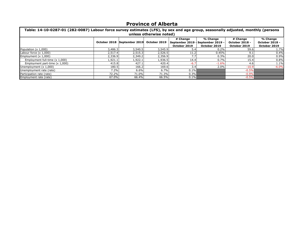### **Province of Alberta**

| Table: 14-10-0287-01 (282-0087) Labour force survey estimates (LFS), by sex and age group, seasonally adjusted, monthly (persons<br>unless otherwise noted) |         |                             |              |                                              |                                              |                                                   |                                                   |  |  |
|-------------------------------------------------------------------------------------------------------------------------------------------------------------|---------|-----------------------------|--------------|----------------------------------------------|----------------------------------------------|---------------------------------------------------|---------------------------------------------------|--|--|
|                                                                                                                                                             |         | October 2018 September 2019 | October 2019 | # Change<br>September 2019 -<br>October 2019 | % Change<br>September 2019 -<br>October 2019 | # Change<br><b>October 2018 -</b><br>October 2019 | % Change<br><b>October 2018 -</b><br>October 2019 |  |  |
| Population (x 1,000)                                                                                                                                        | 3,486.3 | 3,540.5                     | 3,545.9      | 5.4                                          | 0.2%                                         | 59.6                                              | 1.7%                                              |  |  |
| Labour force $(x 1,000)$                                                                                                                                    | 2,517.4 | 2,515.3                     | 2,526.5      | 11.2                                         | 0.45%                                        | 9.1                                               | 0.4%                                              |  |  |
| Employment $(x 1,000)$                                                                                                                                      | 2,336.9 | 2.349.2                     | 2,356.9      | 7.7                                          | 0.3%                                         | 20.0                                              | 0.9%                                              |  |  |
| Employment full-time (x 1,000)                                                                                                                              | 1,921.1 | 1,922.1                     | 1,936.5      | 14.4                                         | 0.7%                                         | 15.4                                              | 0.8%                                              |  |  |
| Employment part-time (x 1,000)                                                                                                                              | 415.8   | 427.1                       | 420.4        | $-6.7$                                       | $-1.6%$                                      | 4.6                                               | 1.1%                                              |  |  |
| Unemployment (x 1,000)                                                                                                                                      | 180.5   | 166.2                       | 169.6        | 3.4                                          | 2.0%                                         | $-10.9$                                           | $-6.0%$                                           |  |  |
| Unemployment rate (rate)                                                                                                                                    | 7.2%    | 6.6%                        | 6.7%         | 0.1%                                         |                                              | $-0.5%$                                           |                                                   |  |  |
| Participation rate (rate)                                                                                                                                   | 72.2%   | 71.0%                       | 71.3%        | 0.3%                                         |                                              | $-0.9%$                                           |                                                   |  |  |
| Employment rate (rate)                                                                                                                                      | 67.0%   | 66.4%                       | 66.5%        | $0.1\%$                                      |                                              | $-0.5%$                                           |                                                   |  |  |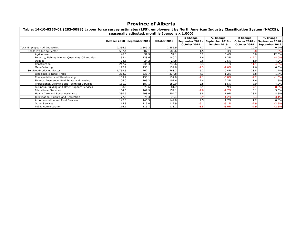#### **Province of Alberta**

| Table: 14-10-0355-01 (282-0088) Labour force survey estimates (LFS), employment by North American Industry Classification System (NAICS),<br>seasonally adjusted, monthly (persons x 1,000) |         |                             |              |                                              |                                              |                                                   |                                              |  |
|---------------------------------------------------------------------------------------------------------------------------------------------------------------------------------------------|---------|-----------------------------|--------------|----------------------------------------------|----------------------------------------------|---------------------------------------------------|----------------------------------------------|--|
|                                                                                                                                                                                             |         | October 2018 September 2019 | October 2019 | # Change<br>September 2019 -<br>October 2019 | % Change<br>September 2019 -<br>October 2019 | # Change<br><b>October 2018 -</b><br>October 2019 | % Change<br>September 2018<br>September 2019 |  |
| Total Employed - All Industries                                                                                                                                                             | 2,336.9 | 2,349.2                     | 2,356.9      | 7.7                                          | 0.3%                                         | 20.0                                              | 0.9%                                         |  |
| Goods-Producing Sector                                                                                                                                                                      | 597.4   | 587.1                       | 588.6        | 1.5                                          | 0.3%                                         | $-8.8$                                            | $-1.5%$                                      |  |
| Agriculture                                                                                                                                                                                 | 46.3    | 51.9                        | 52.1         | 0.2                                          | 0.4%                                         | 5.8                                               | 12.5%                                        |  |
| Forestry, Fishing, Mining, Quarrying, Oil and Gas                                                                                                                                           | 152.4   | 138.6                       | 140.2        | 1.6                                          | 1.2%                                         | $-12.2$                                           | $-8.0%$                                      |  |
| <b>Utilities</b>                                                                                                                                                                            | 23.8    | 24.2                        | 24.8         | 0.6                                          | 2.5%                                         | 1.0                                               | 4.2%                                         |  |
| Construction                                                                                                                                                                                | 247.7   | 236.3                       | 236.6        | 0.3                                          | 0.1%                                         | $-11.1$                                           | $-4.5%$                                      |  |
| Manufacturing                                                                                                                                                                               | 127.2   | 136.1                       | 134.8        | $-1.3$                                       | $-1.0%$                                      | 7.6                                               | 6.0%                                         |  |
| Services-Producing Sector                                                                                                                                                                   | L,739.5 | 1,762.1                     | 1,768.3      | 6.2                                          | 0.4%                                         | 28.8                                              | 1.7%                                         |  |
| Wholesale & Retail Trade                                                                                                                                                                    | 332.0   | 333.7                       | 337.8        | 4.1                                          | 1.2%                                         | 5.8                                               | 1.7%                                         |  |
| Transportation and Warehousing                                                                                                                                                              | 139.2   | 138.1                       | 137.0        | $-1.1$                                       | $-0.8%$                                      | $-2.2$                                            | $-1.6%$                                      |  |
| Finance, Insurance, Real Estate and Leasing                                                                                                                                                 | 106.0   | 105.2                       | 107.6        | 2.4                                          | 2.3%                                         | 1.6                                               | 1.5%                                         |  |
| Professional, Scientific and Technical Services                                                                                                                                             | 181.0   | 187.1                       | 189.9        | 2.8                                          | 1.5%                                         | 8.9                                               | 4.9%                                         |  |
| Business, Building and Other Support Services                                                                                                                                               | 88.8    | 78.6                        | 81.7         | 3.1                                          | 3.9%                                         | $-7.1$                                            | $-8.0%$                                      |  |
| <b>Educational Services</b>                                                                                                                                                                 | 154.0   | 161.9                       | 159.1        | $-2.8$                                       | $-1.7%$                                      | 5.1                                               | 3.3%                                         |  |
| Health Care and Social Assistance                                                                                                                                                           | 280.9   | 298.9                       | 304.7        | 5.8                                          | 1.9%                                         | 23.8                                              | 8.5%                                         |  |
| Information, Culture and Recreation                                                                                                                                                         | 77.8    | 76.3                        | 75.4         | $-0.9$                                       | $-1.2%$                                      | $-2.4$                                            | $-3.1%$                                      |  |
| Accommodation and Food Services                                                                                                                                                             | 147.8   | 146.5                       | 149.0        | 2.5                                          | 1.7%                                         | 1.2                                               | 0.8%                                         |  |
| Other Services                                                                                                                                                                              | 115.8   | 119.0                       | 112.9        | $-6.1$                                       | $-5.1%$                                      | $-2.9$                                            | $-2.5%$                                      |  |
| <b>Public Administration</b>                                                                                                                                                                | 116.1   | 116.7                       | 113.2        | $-3.5$                                       | $-3.0%$                                      | $-2.9$                                            | $-2.5%$                                      |  |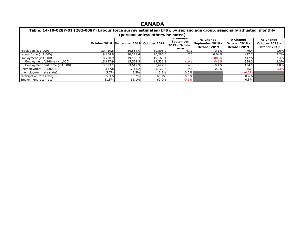### **CANADA**

| Table: 14-10-0287-01 (282-0087) Labour force survey estimates (LFS), by sex and age group, seasonally adjusted, monthly<br>(persons unless otherwise noted) |          |                             |              |                                                                                                                        |                                              |                                                   |                                                   |  |  |
|-------------------------------------------------------------------------------------------------------------------------------------------------------------|----------|-----------------------------|--------------|------------------------------------------------------------------------------------------------------------------------|----------------------------------------------|---------------------------------------------------|---------------------------------------------------|--|--|
|                                                                                                                                                             |          | October 2018 September 2019 | October 2019 | <del># Change</del><br>September<br>2019 - October<br>$\begin{array}{c} \n\bullet \bullet \bullet \bullet \end{array}$ | % Change<br>September 2019 -<br>October 2019 | # Change<br><b>October 2018 -</b><br>October 2019 | % Change<br><b>October 2018 -</b><br>October 2019 |  |  |
| Population (x 1,000)                                                                                                                                        | 30,419.6 | 30,854.9                    | 30,896.0     | 41.1                                                                                                                   | 0.1%                                         | 476.4                                             | 1.6%                                              |  |  |
| Labour force $(x 1,000)$                                                                                                                                    | 19,858.8 | 20,278.4                    | 20,286.0     | 7.6                                                                                                                    | 0.04%                                        | 427.2                                             | 2.2%                                              |  |  |
| Employment (x 1,000)                                                                                                                                        | 18,720.9 | 19,165.2                    | 19,163.4     | $-1.8$                                                                                                                 | $-0.009%$                                    | 442.5                                             | 2.4%                                              |  |  |
| Employment full-time (x 1,000)                                                                                                                              | 15,197.9 | 15,552.3                    | 15,536.2     | $-16.1$                                                                                                                | $-0.1%$                                      | 338.3                                             | 2.2%                                              |  |  |
| Employment part-time (x 1,000)                                                                                                                              | 3,523.1  | 3,612.9                     | 3,627.2      | 14.3                                                                                                                   | $0.4\%$                                      | 104.1                                             | 3.0%                                              |  |  |
| Unemployment (x 1,000)                                                                                                                                      | 1,137.8  | 1,113.2                     | .,122.7      | 9.5                                                                                                                    | 0.9%                                         | $-15.1$                                           | $-1.3%$                                           |  |  |
| Unemployment rate (rate)                                                                                                                                    | 5.7%     | 5.5%                        | 5.5%         | $0.0\%$                                                                                                                |                                              | $-0.2%$                                           |                                                   |  |  |
| Participation rate (rate)                                                                                                                                   | 65.3%    | 65.7%                       | 65.7%        | $0.0\%$                                                                                                                |                                              | $0.4\%$                                           |                                                   |  |  |
| Employment rate (rate)                                                                                                                                      | 61.5%    | 62.1%                       | 62.0%        | $-0.1%$                                                                                                                |                                              | $0.5\%$                                           |                                                   |  |  |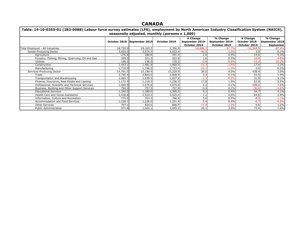#### **CANADA**

| Table: 14-10-0355-01 (282-0088) Labour force survey estimates (LFS), employment by North American Industry Classification System (NAICS), |              |                |                                                |                 |                 |                       |                |
|-------------------------------------------------------------------------------------------------------------------------------------------|--------------|----------------|------------------------------------------------|-----------------|-----------------|-----------------------|----------------|
|                                                                                                                                           |              |                | seasonally adjusted, monthly (persons x 1,000) |                 |                 |                       |                |
|                                                                                                                                           |              |                |                                                | # Change        | % Change        | # Change              | % Change       |
|                                                                                                                                           | October 2018 | September 2019 | October 2019                                   | September 2019- | September 2019- | <b>October 2018 -</b> | September 2018 |
|                                                                                                                                           |              |                |                                                | October 2019    | October 2019    | October 2019          | September      |
| Total Employed - All Industries                                                                                                           | 18,720.9     | 19,165.2       | 2,356.9                                        | $-16,808.3$     | $-87.7%$        | $-16,364.0$           | $-87.4%$       |
| Goods-Producing Sector                                                                                                                    | 3,929.5      | 3,974.3        | 3,933.4                                        | $-40.9$         | $-1.0%$         | 3.9                   | 0.1%           |
| Agriculture                                                                                                                               | 276.8        | 288.8          | 291.4                                          | 2.6             | 0.9%            | 14.6                  | 5.3%           |
| Forestry, Fishing, Mining, Quarrying, Oil and Gas                                                                                         | 339.3        | 321.3          | 322.9                                          | 1.6             | 0.5%            | $-16.4$               | $-4.8%$        |
| <b>Utilities</b>                                                                                                                          | 150.5        | 136.0          | 135.2                                          | $-0.8$          | $-0.6%$         | $-15.3$               | $-10.2%$       |
| Construction                                                                                                                              | l,443.1      | 1,481.8        | 1,460.5                                        | $-21.3$         | $-1.4%$         | 17.4                  | 1.2%           |
| Manufacturing                                                                                                                             | 1,719.9      | 1,746.5        | 1,723.4                                        | $-23.1$         | $-1.3%$         | 3.5                   | 0.2%           |
| Services-Producing Sector                                                                                                                 | 14,791.5     | 15,190.9       | 15,229.9                                       | 39.0            | 0.3%            | 438.4                 | 3.0%           |
| Trade                                                                                                                                     | 2,795.4      | 2,845.6        | 2,848.9                                        | 3.3             | 0.1%            | 53.5                  | 1.9%           |
| Transportation and Warehousing                                                                                                            | 1,005.7      | 1,039.5        | 1,037.2                                        | $-2.3$          | $-0.2%$         | 31.5                  | 3.1%           |
| Finance, Insurance, Real Estate and Leasing                                                                                               | 1,172.4      | 1,218.5        | 1,236.3                                        | 17.8            | 1.5%            | 63.9                  | 5.5%           |
| Professional, Scientific and Technical Services                                                                                           | ,469.8       | l,576.8        | 1,579.0                                        | 2.2             | 0.1%            | 109.2                 | 7.4%           |
| Business, Building and Other Support Services                                                                                             | 794.5        | 757.5          | 757.9                                          | 0.4             | 0.1%            | $-36.6$               | $-4.6%$        |
| <b>Educational Services</b>                                                                                                               | l,340.5      | l,390.0        | 1,395.2                                        | 5.2             | 0.4%            | 54.7                  | 4.1%           |
| Health Care and Social Assistance                                                                                                         | 2,430.8      | 2,524.2        | 2,525.4                                        | 1.2             | 0.0%            | 94.6                  | 3.9%           |
| Information, Culture and Recreation                                                                                                       | 775.2        | 763.3          | 766.9                                          | 3.6             | 0.5%            | $-8.3$                | $-1.1%$        |
| Accommodation and Food Services                                                                                                           | ,238.1       | 1,226.0        | 1,231.4                                        | 5.4             | 0.4%            | $-6.7$                | $-0.5%$        |
| <b>Other Services</b>                                                                                                                     | 797.1        | 824.6          | 806.7                                          | $-17.9$         | $-2.2%$         | 9.6                   | 1.2%           |
| <b>Public Administration</b>                                                                                                              | 971.8        | 1,025.1        | 1,045.2                                        | 20.1            | 2.0%            | 73.4                  | 7.6%           |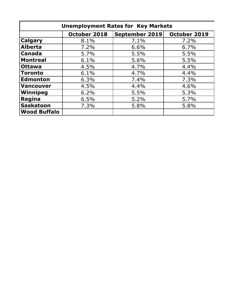| <b>Unemployment Rates for Key Markets</b> |              |                       |              |  |  |  |  |
|-------------------------------------------|--------------|-----------------------|--------------|--|--|--|--|
|                                           | October 2018 | <b>September 2019</b> | October 2019 |  |  |  |  |
| <b>Calgary</b>                            | 8.1%         | 7.1%                  | 7.2%         |  |  |  |  |
| <b>Alberta</b>                            | 7.2%         | 6.6%                  | 6.7%         |  |  |  |  |
| <b>Canada</b>                             | 5.7%         | 5.5%                  | 5.5%         |  |  |  |  |
| <b>Montreal</b>                           | 6.1%         | 5.6%                  | 5.5%         |  |  |  |  |
| <b>Ottawa</b>                             | 4.5%         | 4.7%                  | 4.4%         |  |  |  |  |
| Toronto                                   | 6.1%         | 4.7%                  | 4.4%         |  |  |  |  |
| <b>Edmonton</b>                           | 6.3%         | 7.4%                  | 7.3%         |  |  |  |  |
| Vancouver                                 | 4.5%         | 4.4%                  | 4.6%         |  |  |  |  |
| Winnipeg                                  | 6.2%         | 5.5%                  | 5.3%         |  |  |  |  |
| Regina                                    | 6.5%         | 5.2%                  | 5.7%         |  |  |  |  |
| <b>Saskatoon</b>                          | 7.3%         | 5.8%                  | 5.8%         |  |  |  |  |
| <b>Wood Buffalo</b>                       |              |                       |              |  |  |  |  |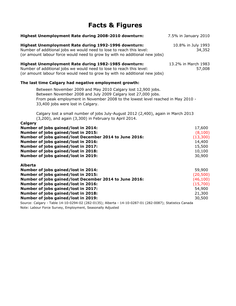## **Facts & Figures**

| Highest Unemployment Rate during 2008-2010 downturn:                                                                                                                                                                                                                                                               | 7.5% in January 2010                                                       |
|--------------------------------------------------------------------------------------------------------------------------------------------------------------------------------------------------------------------------------------------------------------------------------------------------------------------|----------------------------------------------------------------------------|
| Highest Unemployment Rate during 1992-1996 downturn:<br>Number of additional jobs we would need to lose to reach this level:<br>(or amount labour force would need to grow by with no additional new jobs)                                                                                                         | 10.8% in July 1993<br>34,352                                               |
| Highest Unemployment Rate during 1982-1985 downturn:<br>Number of additional jobs we would need to lose to reach this level:<br>(or amount labour force would need to grow by with no additional new jobs)                                                                                                         | 13.2% in March 1983<br>57,008                                              |
| The last time Calgary had negative employment growth:                                                                                                                                                                                                                                                              |                                                                            |
| Between November 2009 and May 2010 Calgary lost 12,900 jobs.<br>Between November 2008 and July 2009 Calgary lost 27,000 jobs.<br>From peak employment in November 2008 to the lowest level reached in May 2010 -<br>33,400 jobs were lost in Calgary.                                                              |                                                                            |
| Calgary lost a small number of jobs July-August 2012 (2,400), again in March 2013<br>(3,200), and again (3,300) in February to April 2014.                                                                                                                                                                         |                                                                            |
| Calgary<br>Number of jobs gained/lost in 2014:<br>Number of jobs gained/lost in 2015:<br>Number of jobs gained/lost December 2014 to June 2016:<br>Number of jobs gained/lost in 2016:<br>Number of jobs gained/lost in 2017:<br>Number of jobs gained/lost in 2018:<br>Number of jobs gained/lost in 2019:        | 17,600<br>(8,100)<br>(13,300)<br>14,400<br>15,500<br>10,100<br>30,900      |
| <b>Alberta</b><br>Number of jobs gained/lost in 2014:<br>Number of jobs gained/lost in 2015:<br>Number of jobs gained/lost December 2014 to June 2016:<br>Number of jobs gained/lost in 2016:<br>Number of jobs gained/lost in 2017:<br>Number of jobs gained/lost in 2018:<br>Number of jobs gained/lost in 2019: | 59,900<br>(20, 500)<br>(46, 100)<br>(15,700)<br>54,900<br>21,300<br>30,500 |
| Source: Calgary - Table 14-10-0294-02 (282-0135); Alberta - 14-10-0287-01 (282-0087); Statistics Canada<br>Note: Labour Force Survey, Employment, Seasonally Adjusted                                                                                                                                              |                                                                            |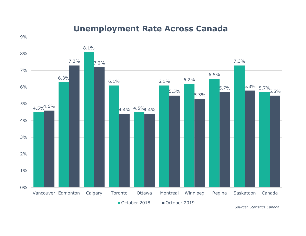## **Unemployment Rate Across Canada**



*Source: Statistics Canada*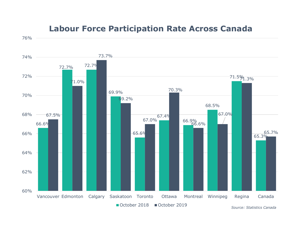

## **Labour Force Participation Rate Across Canada**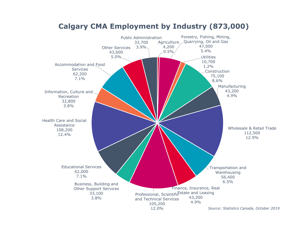

### **Calgary CMA Employment by Industry (873,000)**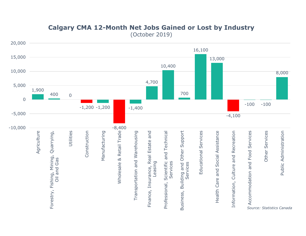

### **Calgary CMA 12-Month Net Jobs Gained or Lost by Industry**  (October 2019)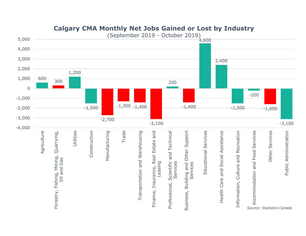

### **Calgary CMA Monthly Net Jobs Gained or Lost by Industry**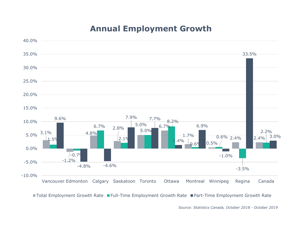# **Annual Employment Growth**



■ Total Employment Growth Rate ■ Full-Time Employment Growth Rate ■ Part-Time Employment Growth Rate

*Source: Statistics Canada, October 2018 - October 2019*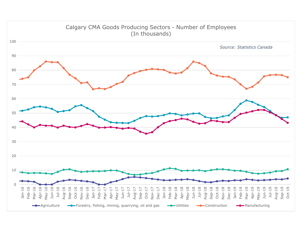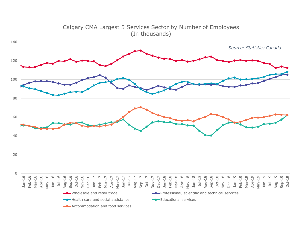